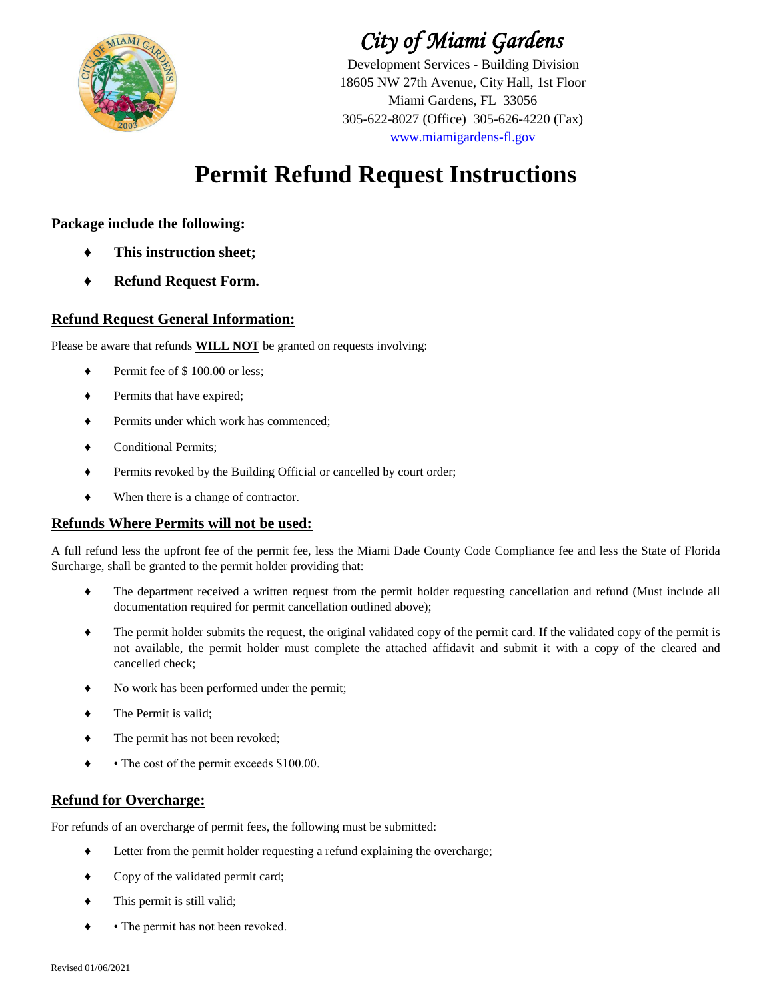

## *City of Miami Gardens*

Development Services - Building Division 305-622-8027 (Office) 305-626-4220 (Fax) 18605 NW 27th Avenue, City Hall, 1st Floor www.miamigardens-fl.gov Miami Gardens, FL 33056

# **Permit Refund Request Instructions**

### **Package include the following:**

- **♦ This instruction sheet;**
- **♦ Refund Request Form.**

### **Refund Request General Information:**

Please be aware that refunds **WILL NOT** be granted on requests involving:

- ♦ Permit fee of \$ 100.00 or less;
- ♦ Permits that have expired;
- ♦ Permits under which work has commenced;
- ♦ Conditional Permits;
- ♦ Permits revoked by the Building Official or cancelled by court order;
- ♦ When there is a change of contractor.

#### **Refunds Where Permits will not be used:**

A full refund less the upfront fee of the permit fee, less the Miami Dade County Code Compliance fee and less the State of Florida Surcharge, shall be granted to the permit holder providing that:

- ♦ The department received a written request from the permit holder requesting cancellation and refund (Must include all documentation required for permit cancellation outlined above);
- ♦ The permit holder submits the request, the original validated copy of the permit card. If the validated copy of the permit is not available, the permit holder must complete the attached affidavit and submit it with a copy of the cleared and cancelled check;
- ♦ No work has been performed under the permit;
- ♦ The Permit is valid;
- ♦ The permit has not been revoked;
- ♦ • The cost of the permit exceeds \$100.00.

#### **Refund for Overcharge:**

For refunds of an overcharge of permit fees, the following must be submitted:

- ♦ Letter from the permit holder requesting a refund explaining the overcharge;
- ♦ Copy of the validated permit card;
- ♦ This permit is still valid;
- ♦ • The permit has not been revoked.